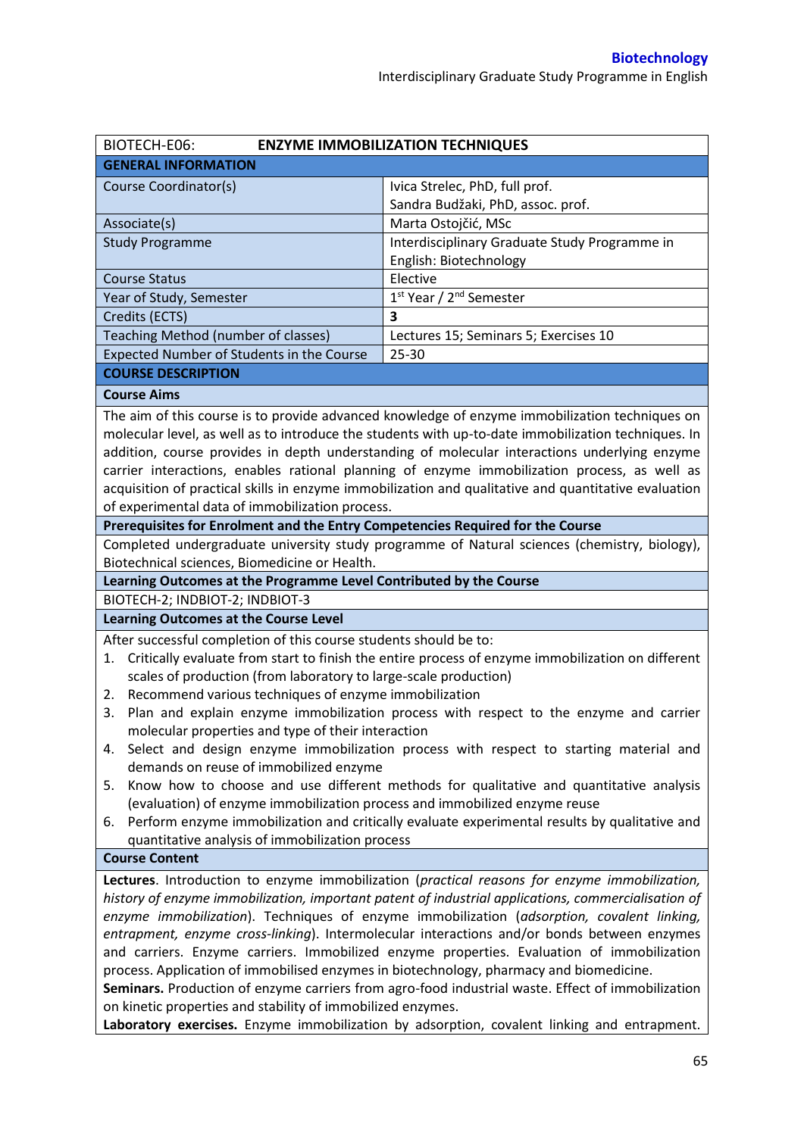| BIOTECH-E06:                                                                                            | <b>ENZYME IMMOBILIZATION TECHNIQUES</b>                                                              |  |  |  |  |
|---------------------------------------------------------------------------------------------------------|------------------------------------------------------------------------------------------------------|--|--|--|--|
| <b>GENERAL INFORMATION</b>                                                                              |                                                                                                      |  |  |  |  |
| Course Coordinator(s)                                                                                   | Ivica Strelec, PhD, full prof.                                                                       |  |  |  |  |
|                                                                                                         | Sandra Budžaki, PhD, assoc. prof.                                                                    |  |  |  |  |
| Associate(s)                                                                                            | Marta Ostojčić, MSc                                                                                  |  |  |  |  |
| <b>Study Programme</b>                                                                                  | Interdisciplinary Graduate Study Programme in                                                        |  |  |  |  |
|                                                                                                         | English: Biotechnology                                                                               |  |  |  |  |
| <b>Course Status</b>                                                                                    | Elective                                                                                             |  |  |  |  |
| Year of Study, Semester                                                                                 | 1st Year / 2 <sup>nd</sup> Semester                                                                  |  |  |  |  |
| Credits (ECTS)                                                                                          | 3                                                                                                    |  |  |  |  |
| Teaching Method (number of classes)                                                                     | Lectures 15; Seminars 5; Exercises 10                                                                |  |  |  |  |
| Expected Number of Students in the Course                                                               | 25-30                                                                                                |  |  |  |  |
| <b>COURSE DESCRIPTION</b>                                                                               |                                                                                                      |  |  |  |  |
| <b>Course Aims</b>                                                                                      |                                                                                                      |  |  |  |  |
|                                                                                                         | The aim of this course is to provide advanced knowledge of enzyme immobilization techniques on       |  |  |  |  |
|                                                                                                         | molecular level, as well as to introduce the students with up-to-date immobilization techniques. In  |  |  |  |  |
|                                                                                                         | addition, course provides in depth understanding of molecular interactions underlying enzyme         |  |  |  |  |
|                                                                                                         | carrier interactions, enables rational planning of enzyme immobilization process, as well as         |  |  |  |  |
|                                                                                                         | acquisition of practical skills in enzyme immobilization and qualitative and quantitative evaluation |  |  |  |  |
| of experimental data of immobilization process.                                                         |                                                                                                      |  |  |  |  |
| Prerequisites for Enrolment and the Entry Competencies Required for the Course                          |                                                                                                      |  |  |  |  |
|                                                                                                         | Completed undergraduate university study programme of Natural sciences (chemistry, biology),         |  |  |  |  |
| Biotechnical sciences, Biomedicine or Health.                                                           |                                                                                                      |  |  |  |  |
| Learning Outcomes at the Programme Level Contributed by the Course                                      |                                                                                                      |  |  |  |  |
| BIOTECH-2; INDBIOT-2; INDBIOT-3                                                                         |                                                                                                      |  |  |  |  |
| <b>Learning Outcomes at the Course Level</b>                                                            |                                                                                                      |  |  |  |  |
| After successful completion of this course students should be to:                                       |                                                                                                      |  |  |  |  |
| Critically evaluate from start to finish the entire process of enzyme immobilization on different<br>1. |                                                                                                      |  |  |  |  |
| scales of production (from laboratory to large-scale production)                                        |                                                                                                      |  |  |  |  |
| Recommend various techniques of enzyme immobilization<br>2.                                             |                                                                                                      |  |  |  |  |
| 3.                                                                                                      | Plan and explain enzyme immobilization process with respect to the enzyme and carrier                |  |  |  |  |
| molecular properties and type of their interaction                                                      |                                                                                                      |  |  |  |  |
| Select and design enzyme immobilization process with respect to starting material and<br>4.             |                                                                                                      |  |  |  |  |
| demands on reuse of immobilized enzyme                                                                  |                                                                                                      |  |  |  |  |
| Know how to choose and use different methods for qualitative and quantitative analysis<br>5.            |                                                                                                      |  |  |  |  |
| (evaluation) of enzyme immobilization process and immobilized enzyme reuse                              |                                                                                                      |  |  |  |  |
| 6.                                                                                                      | Perform enzyme immobilization and critically evaluate experimental results by qualitative and        |  |  |  |  |
| quantitative analysis of immobilization process                                                         |                                                                                                      |  |  |  |  |
| <b>Course Content</b>                                                                                   |                                                                                                      |  |  |  |  |
| Lectures. Introduction to enzyme immobilization (practical reasons for enzyme immobilization,           |                                                                                                      |  |  |  |  |
| history of enzyme immobilization, important patent of industrial applications, commercialisation of     |                                                                                                      |  |  |  |  |
| enzyme immobilization). Techniques of enzyme immobilization (adsorption, covalent linking,              |                                                                                                      |  |  |  |  |
| entrapment, enzyme cross-linking). Intermolecular interactions and/or bonds between enzymes             |                                                                                                      |  |  |  |  |
| and carriers. Enzyme carriers. Immobilized enzyme properties. Evaluation of immobilization              |                                                                                                      |  |  |  |  |
| process. Application of immobilised enzymes in biotechnology, pharmacy and biomedicine.                 |                                                                                                      |  |  |  |  |
| Seminars. Production of enzyme carriers from agro-food industrial waste. Effect of immobilization       |                                                                                                      |  |  |  |  |
| on kinetic properties and stability of immobilized enzymes.                                             |                                                                                                      |  |  |  |  |
| Laboratory exercises. Enzyme immobilization by adsorption, covalent linking and entrapment.             |                                                                                                      |  |  |  |  |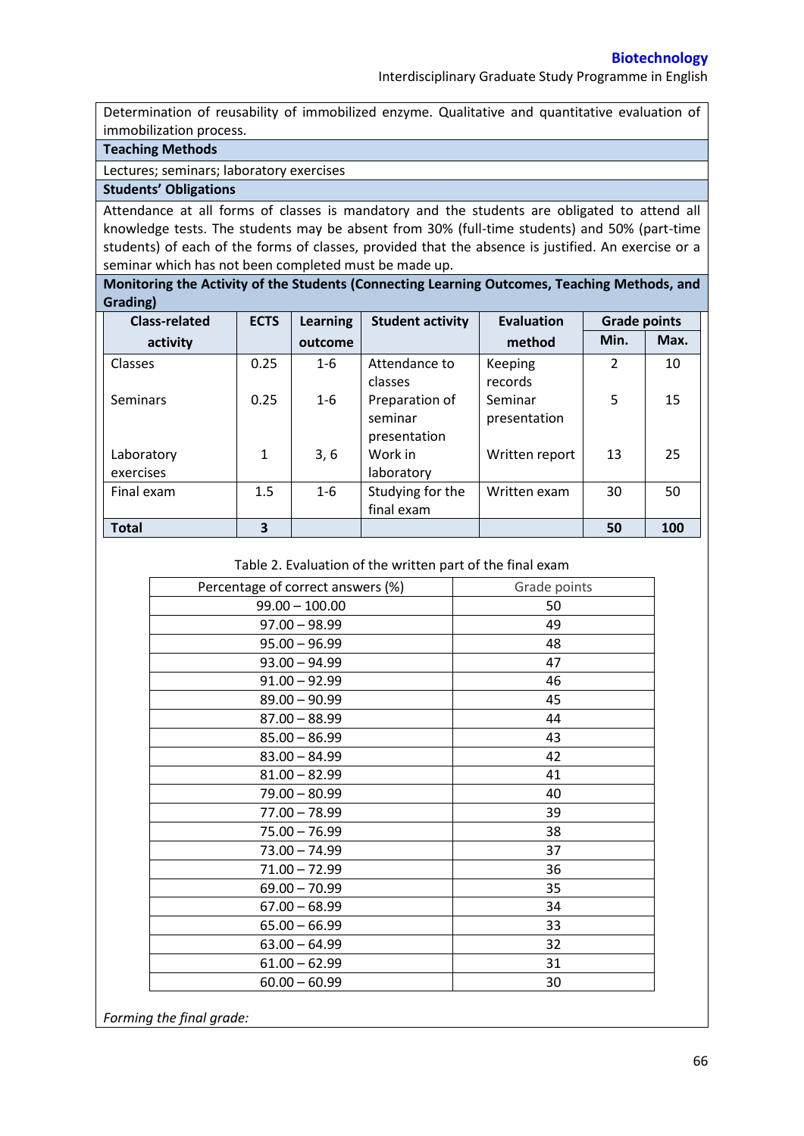Determination of reusability of immobilized enzyme. Qualitative and quantitative evaluation of immobilization process.

# **Teaching Methods**

Lectures; seminars; laboratory exercises

## **Students' Obligations**

Attendance at all forms of classes is mandatory and the students are obligated to attend all knowledge tests. The students may be absent from 30% (full-time students) and 50% (part-time students) of each of the forms of classes, provided that the absence is justified. An exercise or a seminar which has not been completed must be made up.

**Monitoring the Activity of the Students (Connecting Learning Outcomes, Teaching Methods, and Grading)**

| <b>Class-related</b>    | <b>ECTS</b>  | <b>Learning</b> | <b>Student activity</b>                   | <b>Evaluation</b>       | <b>Grade points</b> |      |
|-------------------------|--------------|-----------------|-------------------------------------------|-------------------------|---------------------|------|
| activity                |              | outcome         |                                           | method                  | Min.                | Max. |
| <b>Classes</b>          | 0.25         | $1 - 6$         | Attendance to<br>classes                  | Keeping<br>records      | 2                   | 10   |
| <b>Seminars</b>         | 0.25         | $1 - 6$         | Preparation of<br>seminar<br>presentation | Seminar<br>presentation | 5                   | 15   |
| Laboratory<br>exercises | $\mathbf{1}$ | 3, 6            | Work in<br>laboratory                     | Written report          | 13                  | 25   |
| Final exam              | 1.5          | $1 - 6$         | Studying for the<br>final exam            | Written exam            | 30                  | 50   |
| <b>Total</b>            | 3            |                 |                                           |                         | 50                  | 100  |

#### Table 2. Evaluation of the written part of the final exam

| Percentage of correct answers (%) | Grade points |
|-----------------------------------|--------------|
| $99.00 - 100.00$                  | 50           |
| $97.00 - 98.99$                   | 49           |
| $95.00 - 96.99$                   | 48           |
| $93.00 - 94.99$                   | 47           |
| $91.00 - 92.99$                   | 46           |
| $89.00 - 90.99$                   | 45           |
| $87.00 - 88.99$                   | 44           |
| $85.00 - 86.99$                   | 43           |
| $83.00 - 84.99$                   | 42           |
| $81.00 - 82.99$                   | 41           |
| $79.00 - 80.99$                   | 40           |
| $77.00 - 78.99$                   | 39           |
| $75.00 - 76.99$                   | 38           |
| $73.00 - 74.99$                   | 37           |
| $71.00 - 72.99$                   | 36           |
| $69.00 - 70.99$                   | 35           |
| $67.00 - 68.99$                   | 34           |
| $65.00 - 66.99$                   | 33           |
| $63.00 - 64.99$                   | 32           |
| $61.00 - 62.99$                   | 31           |
| $60.00 - 60.99$                   | 30           |

*Forming the final grade:*